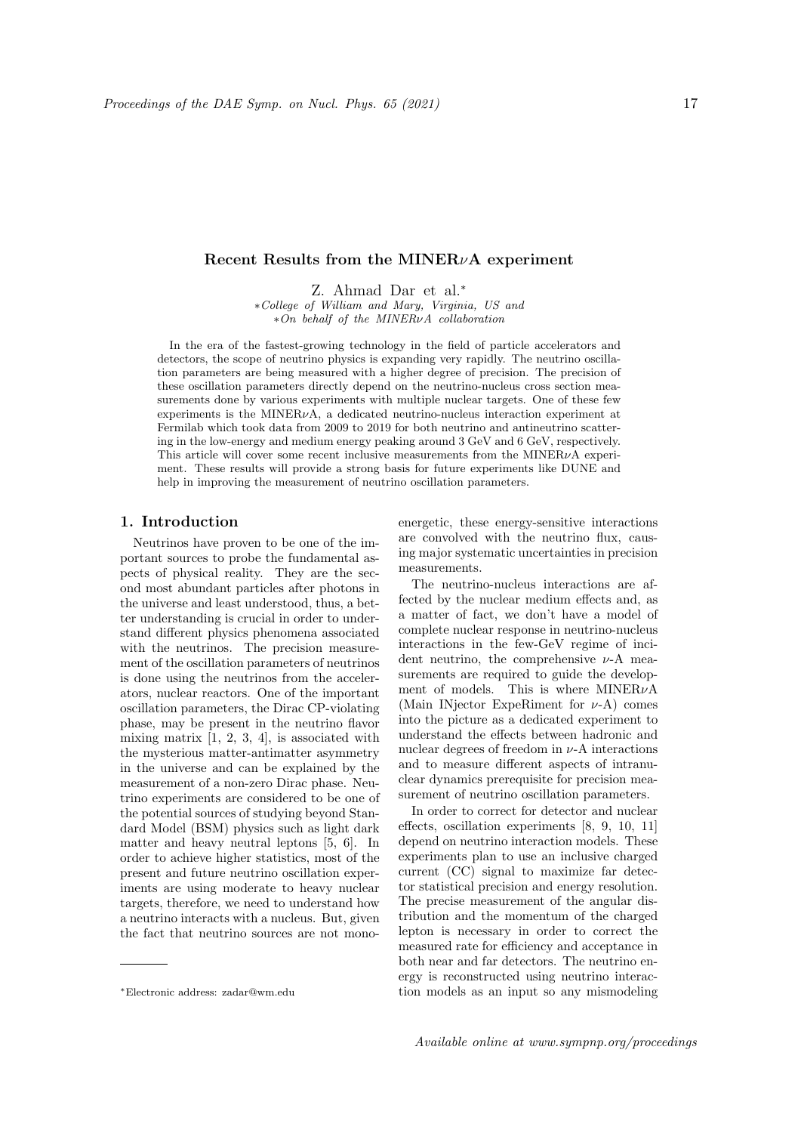## Recent Results from the MINER<sub>v</sub>A experiment

Z. Ahmad Dar et al.<sup>∗</sup>

∗College of William and Mary, Virginia, US and ∗On behalf of the MINERνA collaboration

In the era of the fastest-growing technology in the field of particle accelerators and detectors, the scope of neutrino physics is expanding very rapidly. The neutrino oscillation parameters are being measured with a higher degree of precision. The precision of these oscillation parameters directly depend on the neutrino-nucleus cross section measurements done by various experiments with multiple nuclear targets. One of these few experiments is the MINER $\nu$ A, a dedicated neutrino-nucleus interaction experiment at Fermilab which took data from 2009 to 2019 for both neutrino and antineutrino scattering in the low-energy and medium energy peaking around 3 GeV and 6 GeV, respectively. This article will cover some recent inclusive measurements from the MINER $\nu$ A experiment. These results will provide a strong basis for future experiments like DUNE and help in improving the measurement of neutrino oscillation parameters.

## 1. Introduction

Neutrinos have proven to be one of the important sources to probe the fundamental aspects of physical reality. They are the second most abundant particles after photons in the universe and least understood, thus, a better understanding is crucial in order to understand different physics phenomena associated with the neutrinos. The precision measurement of the oscillation parameters of neutrinos is done using the neutrinos from the accelerators, nuclear reactors. One of the important oscillation parameters, the Dirac CP-violating phase, may be present in the neutrino flavor mixing matrix  $[1, 2, 3, 4]$ , is associated with the mysterious matter-antimatter asymmetry in the universe and can be explained by the measurement of a non-zero Dirac phase. Neutrino experiments are considered to be one of the potential sources of studying beyond Standard Model (BSM) physics such as light dark matter and heavy neutral leptons [5, 6]. In order to achieve higher statistics, most of the present and future neutrino oscillation experiments are using moderate to heavy nuclear targets, therefore, we need to understand how a neutrino interacts with a nucleus. But, given the fact that neutrino sources are not monoenergetic, these energy-sensitive interactions are convolved with the neutrino flux, causing major systematic uncertainties in precision measurements.

The neutrino-nucleus interactions are affected by the nuclear medium effects and, as a matter of fact, we don't have a model of complete nuclear response in neutrino-nucleus interactions in the few-GeV regime of incident neutrino, the comprehensive  $\nu$ -A measurements are required to guide the development of models. This is where  $MINER\nu A$ (Main INjector ExpeRiment for  $\nu$ -A) comes into the picture as a dedicated experiment to understand the effects between hadronic and nuclear degrees of freedom in  $\nu$ -A interactions and to measure different aspects of intranuclear dynamics prerequisite for precision measurement of neutrino oscillation parameters.

In order to correct for detector and nuclear effects, oscillation experiments [8, 9, 10, 11] depend on neutrino interaction models. These experiments plan to use an inclusive charged current (CC) signal to maximize far detector statistical precision and energy resolution. The precise measurement of the angular distribution and the momentum of the charged lepton is necessary in order to correct the measured rate for efficiency and acceptance in both near and far detectors. The neutrino energy is reconstructed using neutrino interaction models as an input so any mismodeling

<sup>∗</sup>Electronic address: zadar@wm.edu